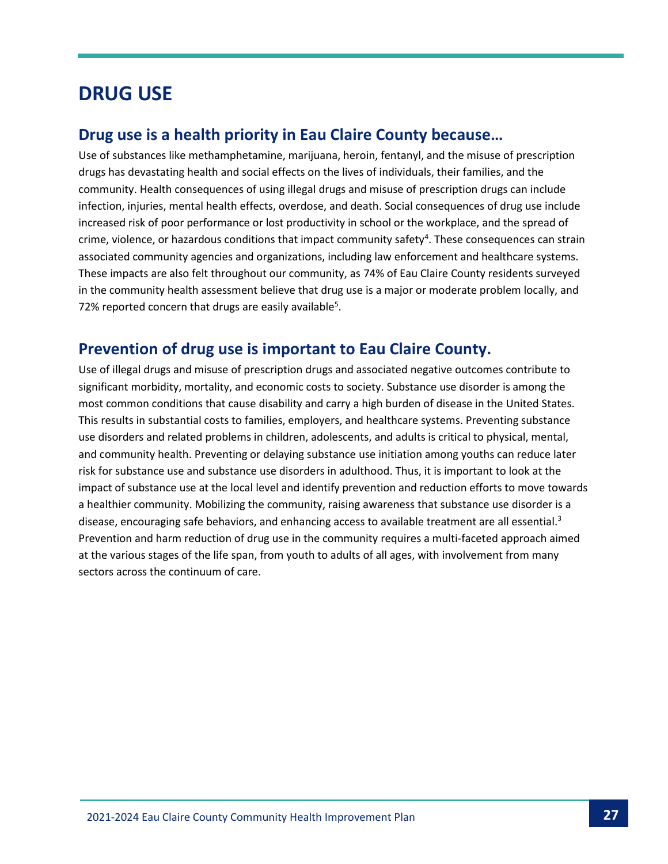## **DRUG USE**

### **Drug use is a health priority in Eau Claire County because…**

Use of substances like methamphetamine, marijuana, heroin, fentanyl, and the misuse of prescription drugs has devastating health and social effects on the lives of individuals, their families, and the community. Health consequences of using illegal drugs and misuse of prescription drugs can include infection, injuries, mental health effects, overdose, and death. Social consequences of drug use include increased risk of poor performance or lost productivity in school or the workplace, and the spread of crime, violence, or hazardous conditions that impact community safety<sup>4</sup>. These consequences can strain associated community agencies and organizations, including law enforcement and healthcare systems. These impacts are also felt throughout our community, as 74% of Eau Claire County residents surveyed in the community health assessment believe that drug use is a major or moderate problem locally, and 72% reported concern that drugs are easily available<sup>5</sup>.

## **Prevention of drug use is important to Eau Claire County.**

Use of illegal drugs and misuse of prescription drugs and associated negative outcomes contribute to significant morbidity, mortality, and economic costs to society. Substance use disorder is among the most common conditions that cause disability and carry a high burden of disease in the United States. This results in substantial costs to families, employers, and healthcare systems. Preventing substance use disorders and related problems in children, adolescents, and adults is critical to physical, mental, and community health. Preventing or delaying substance use initiation among youths can reduce later risk for substance use and substance use disorders in adulthood. Thus, it is important to look at the impact of substance use at the local level and identify prevention and reduction efforts to move towards a healthier community. Mobilizing the community, raising awareness that substance use disorder is a disease, encouraging safe behaviors, and enhancing access to available treatment are all essential.<sup>3</sup> Prevention and harm reduction of drug use in the community requires a multi-faceted approach aimed at the various stages of the life span, from youth to adults of all ages, with involvement from many sectors across the continuum of care.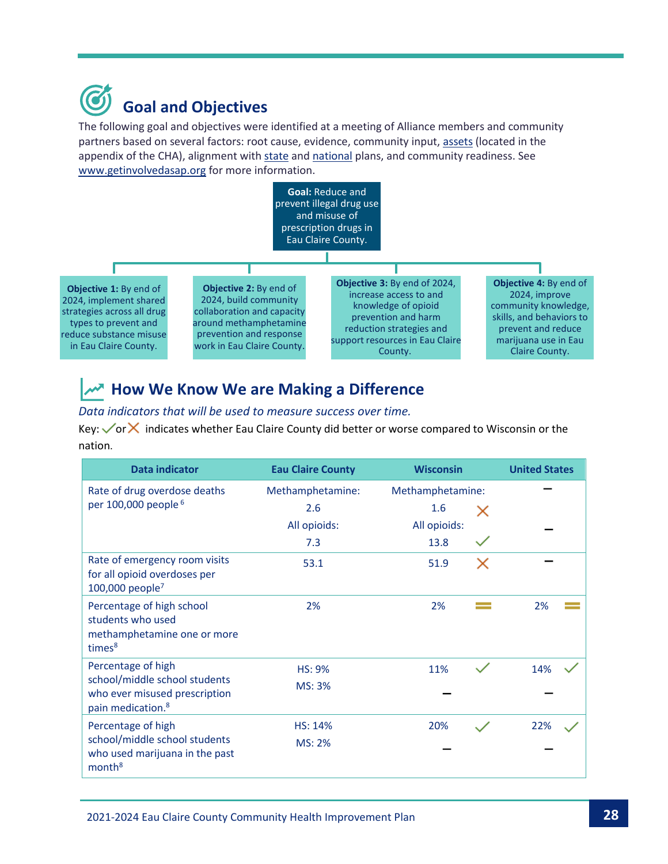

The following goal and objectives were identified at a meeting of Alliance members and community partners based on several factors: root cause, evidence, community input, [assets](https://www.eauclairewi.gov/home/showpublisheddocument/25104/637558200633100000) (located in the appendix of the CHA), alignment with [state](https://www.dhs.wisconsin.gov/hw2020/index.htm) an[d national](https://health.gov/healthypeople) plans, and community readiness. See [www.getinvolvedasap.org](https://www.eauclairewi.gov/government/our-divisions/health-department/there-s-more/alliance-for-substance-abuse-prevention) for more information.



## *A***<sup>N</sup> How We Know We are Making a Difference**

#### *Data indicators that will be used to measure success over time.*

Key:  $\sqrt{\text{or}}\mathsf{X}$  indicates whether Eau Claire County did better or worse compared to Wisconsin or the nation.

| <b>Data indicator</b>                                                                                                 | <b>Eau Claire County</b> | <b>Wisconsin</b> | <b>United States</b> |
|-----------------------------------------------------------------------------------------------------------------------|--------------------------|------------------|----------------------|
| Rate of drug overdose deaths<br>per 100,000 people <sup>6</sup>                                                       | Methamphetamine:         | Methamphetamine: |                      |
|                                                                                                                       | 2.6                      | 1.6<br>x         |                      |
|                                                                                                                       | All opioids:             | All opioids:     |                      |
|                                                                                                                       | 7.3                      | 13.8             |                      |
| Rate of emergency room visits<br>for all opioid overdoses per<br>100,000 people <sup>7</sup>                          | 53.1                     | 51.9<br>X        |                      |
| Percentage of high school<br>students who used<br>methamphetamine one or more<br>times <sup>8</sup>                   | 2%                       | 2%               | 2%                   |
| Percentage of high<br>school/middle school students<br>who ever misused prescription<br>pain medication. <sup>8</sup> | <b>HS: 9%</b>            | 11%              | 14%                  |
|                                                                                                                       | MS: 3%                   |                  |                      |
| Percentage of high<br>school/middle school students<br>who used marijuana in the past<br>month <sup>8</sup>           | <b>HS: 14%</b>           | 20%              | 22%                  |
|                                                                                                                       | <b>MS: 2%</b>            |                  |                      |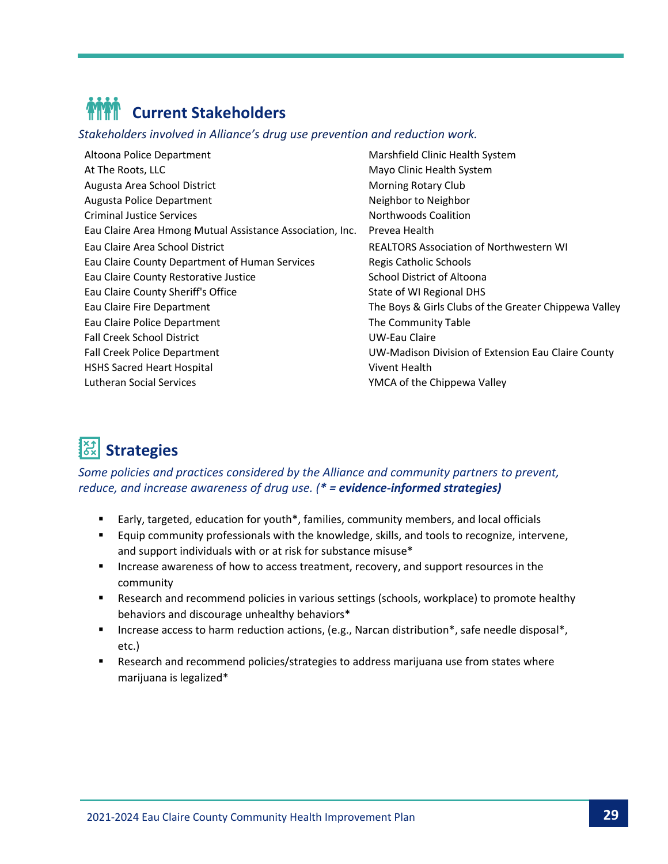

*Stakeholders involved in Alliance's drug use prevention and reduction work.*

Altoona Police Department **Marshfield Clinic Health System** At The Roots, LLC and Mayo Clinic Health System Augusta Area School District **Music Accord Accord Accord Morning Rotary Club** Augusta Police Department Neighbor to Neighbor to Neighbor to Neighbor to Neighbor to Neighbor to Neighbor to Neighbor Criminal Justice Services Northwoods Coalition Eau Claire Area Hmong Mutual Assistance Association, Inc. Prevea Health Eau Claire Area School District REALTORS Association of Northwestern WI Eau Claire County Department of Human Services Regis Catholic Schools Eau Claire County Restorative Justice **School District of Altoona** Eau Claire County Sheriff's Office State of WI Regional DHS Eau Claire Fire Department The Boys & Girls Clubs of the Greater Chippewa Valley Eau Claire Police Department The Community Table Fall Creek School District UW-Eau Claire Fall Creek Police Department UW-Madison Division of Extension Eau Claire County HSHS Sacred Heart Hospital Vivent Health Lutheran Social Services **YMCA** of the Chippewa Valley

# **Strategies**

*Some policies and practices considered by the Alliance and community partners to prevent, reduce, and increase awareness of drug use. (\* = evidence-informed strategies)*

- Early, targeted, education for youth\*, families, community members, and local officials
- Equip community professionals with the knowledge, skills, and tools to recognize, intervene, and support individuals with or at risk for substance misuse\*
- Increase awareness of how to access treatment, recovery, and support resources in the community
- Research and recommend policies in various settings (schools, workplace) to promote healthy behaviors and discourage unhealthy behaviors\*
- Increase access to harm reduction actions, (e.g., Narcan distribution\*, safe needle disposal\*, etc.)
- Research and recommend policies/strategies to address marijuana use from states where marijuana is legalized\*